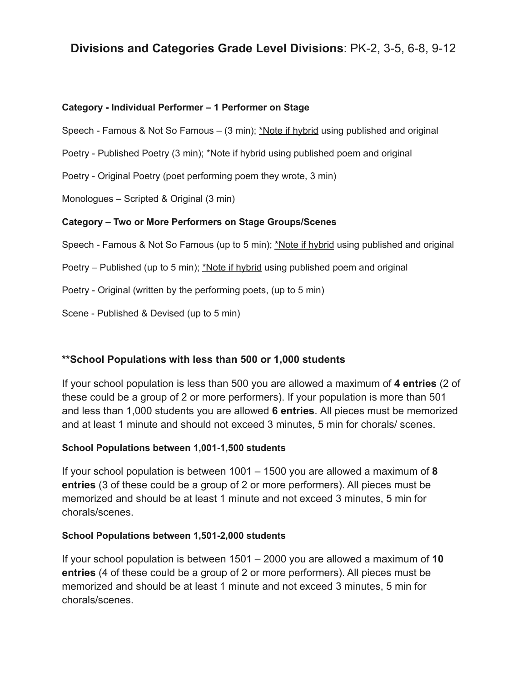# **Divisions and Categories Grade Level Divisions**: PK-2, 3-5, 6-8, 9-12

#### **Category - Individual Performer – 1 Performer on Stage**

Speech - Famous & Not So Famous – (3 min); \*Note if hybrid using published and original

Poetry - Published Poetry (3 min); \*Note if hybrid using published poem and original

Poetry - Original Poetry (poet performing poem they wrote, 3 min)

Monologues – Scripted & Original (3 min)

### **Category – Two or More Performers on Stage Groups/Scenes**

Speech - Famous & Not So Famous (up to 5 min); \*Note if hybrid using published and original

Poetry – Published (up to 5 min); \*Note if hybrid using published poem and original

Poetry - Original (written by the performing poets, (up to 5 min)

Scene - Published & Devised (up to 5 min)

## **\*\*School Populations with less than 500 or 1,000 students**

If your school population is less than 500 you are allowed a maximum of **4 entries** (2 of these could be a group of 2 or more performers). If your population is more than 501 and less than 1,000 students you are allowed **6 entries**. All pieces must be memorized and at least 1 minute and should not exceed 3 minutes, 5 min for chorals/ scenes.

## **School Populations between 1,001-1,500 students**

If your school population is between 1001 – 1500 you are allowed a maximum of **8 entries** (3 of these could be a group of 2 or more performers). All pieces must be memorized and should be at least 1 minute and not exceed 3 minutes, 5 min for chorals/scenes.

#### **School Populations between 1,501-2,000 students**

If your school population is between 1501 – 2000 you are allowed a maximum of **10 entries** (4 of these could be a group of 2 or more performers). All pieces must be memorized and should be at least 1 minute and not exceed 3 minutes, 5 min for chorals/scenes.